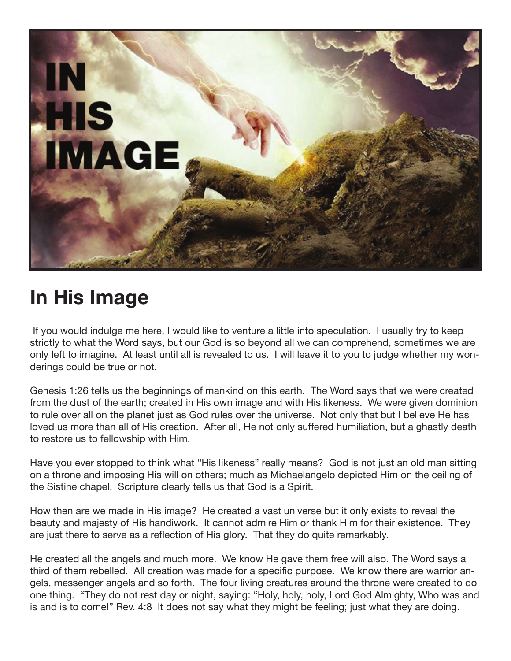

## **In His Image**

 If you would indulge me here, I would like to venture a little into speculation. I usually try to keep strictly to what the Word says, but our God is so beyond all we can comprehend, sometimes we are only left to imagine. At least until all is revealed to us. I will leave it to you to judge whether my wonderings could be true or not.

Genesis 1:26 tells us the beginnings of mankind on this earth. The Word says that we were created from the dust of the earth; created in His own image and with His likeness. We were given dominion to rule over all on the planet just as God rules over the universe. Not only that but I believe He has loved us more than all of His creation. After all, He not only suffered humiliation, but a ghastly death to restore us to fellowship with Him.

Have you ever stopped to think what "His likeness" really means? God is not just an old man sitting on a throne and imposing His will on others; much as Michaelangelo depicted Him on the ceiling of the Sistine chapel. Scripture clearly tells us that God is a Spirit.

How then are we made in His image? He created a vast universe but it only exists to reveal the beauty and majesty of His handiwork. It cannot admire Him or thank Him for their existence. They are just there to serve as a reflection of His glory. That they do quite remarkably.

He created all the angels and much more. We know He gave them free will also. The Word says a third of them rebelled. All creation was made for a specific purpose. We know there are warrior angels, messenger angels and so forth. The four living creatures around the throne were created to do one thing. "They do not rest day or night, saying: "Holy, holy, holy, Lord God Almighty, Who was and is and is to come!" Rev. 4:8 It does not say what they might be feeling; just what they are doing.